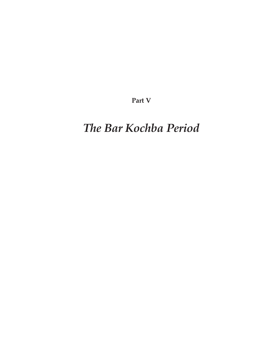**Part V**

# *The Bar Kochba Period*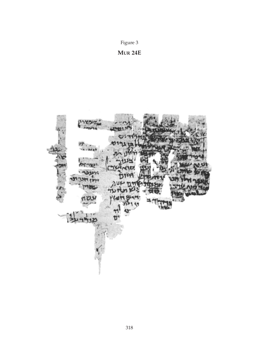

**MUR 24E**

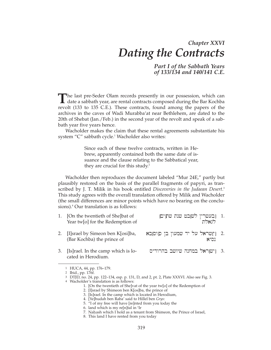## *Chapter XXVI Dating the Contracts*

*Part I of the Sabbath Years of 133/134 and 140/141 C.E.*

The last pre-Seder Olam records presently in our possession, which can date a sabbath year, are rental contracts composed during the Bar Kochba revolt (133 to 135 C.E.). These contracts, found among the papers of the archives in the caves of Wadi Murabba'at near Bethlehem, are dated to the 20th of Shebat (Jan./Feb.) in the second year of the revolt and speak of a sabbath year five years hence.

Wacholder makes the claim that these rental agreements substantiate his system "C" sabbath cycle.<sup>1</sup> Wacholder also writes:

> Since each of these twelve contracts, written in Hebrew, apparently contained both the same date of issuance and the clause relating to the Sabbatical year, they are crucial for this study.<sup>2</sup>

Wacholder then reproduces the document labeled "Mur 24E," partly but plausibly restored on the basis of the parallel fragments of papyri, as transcribed by J. T. Milik in his book entitled *Discoveries in the Judaean Desert*. 3 This study agrees with the overall translation offered by Milik and Wacholder (the small differences are minor points which have no bearing on the conclusions).4 Our translation is as follows:

| 1. [On the twentieth of She]bat of<br>Year tw[o] for the Redemption of | 1. [בעשרין לשבם שנת שתים]<br>לגאלת      |  |
|------------------------------------------------------------------------|-----------------------------------------|--|
| 2. [I]srael by Simeon ben K[osi]ba,<br>(Bar Kochba) the prince of      | 2. [י]שראל על יד שמעון בן סוסבא<br>נסיא |  |
| 3. [Is] rael. In the camp which is lo-                                 | 8. [ישראל במחנה שיושב בהרודיס           |  |

<sup>1</sup> HUCA, 44, pp. 176–179.

cated in Herodium.

<sup>2</sup> Ibid., pp. 176f.

<sup>3</sup> DTJD, no. 24, pp. 122–134, esp. p. 131, D, and 2, pt. 2, Plate XXXVI. Also see Fig. 3.

<sup>4</sup> Wacholder's translation is as follows:

<sup>1. [</sup>On the twentieth of She]vat of the year tw[o] of the Redemption of

<sup>2. [</sup>I]srael by Shimeon ben K[os]ba, the prince of

<sup>3. [</sup>Is]rael. In the camp which is located in Herodium,

<sup>4. [</sup>Ye]hudah ben Raba' said to Hillel ben *Grys*:

<sup>5. &</sup>quot;I of my free will have [re]nted from you today the

<sup>6.</sup> land which is my re[n]tal in 'Ir

<sup>7.</sup> Nahash which I hold as a tenant from Shimeon, the Prince of Israel,

<sup>8.</sup> This land I have rented from you today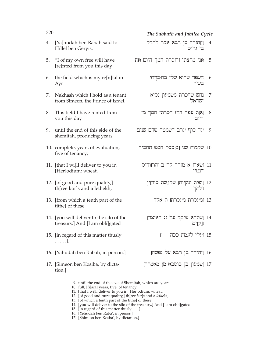### 320 *The Sabbath and Jubilee Cycle*

- 4. [Ya]hudah ben Rabah said to Hillel ben Geryis:
- 5. "I of my own free will have [re]nted from you this day
- 6. the field which is my re[n]tal in Ayr
- 7. Nakhash which I hold as a tenant from Simeon, the Prince of Israel.
- 8. This field I have rented from you this day
- 9. until the end of this side of the shemitah, producing years
- 10. complete, years of evaluation, five of tenancy;
- 11. [that I wi]ll deliver to you in [Her]odium: wheat,
- 12. [of good and pure quality,] th[ree kor]s and a lethekh,
- 13. [from which a tenth part of the tithe] of these
- 14. [you will deliver to the silo of the treasury.] And [I am obli]gated
- 15. [in regard of this matter thusly . . . . .]."
- 16. [Yahudah ben Rabah, in person.]
- 17. [Simeon ben Kosiba, by dictation.]
- .4 [י]הודה בן רב<mark>א א</mark>מר להלל  $\Box$ גריס
- אני מרצוני [ח]כרת המך היום את 5.
	- העפר שהוא שלי בח:כרתי בעיר 6.
	- נחש שחכרת משמעון נסיא<br>ישראל 7.
	- $\mathbb{R}$ ן צפר הלז חכרתי המך מן  $8.$ היום
	- ער סוף ערב השמטה שהם שנים. 9.
	- .<br>10. שלמות שני [מ]כסה חמש תחכיר
		- ושאה) א מודד לך ב נהר]ודיס  $11.$ דנטין
			- ן ניפות ונקיות<mark>ן שלו</mark>נשת כור<mark>ן</mark>ין.<br>ולתד
				- 13. [מעסרת מעסרת] ת אלה
			- 14. [שתהא שוקל על גג האוצר]  $\P$  $\P$ 
				- .<br>15. [עלי לעמת ככה
			- ן ניהודה בן רבא על נפשח
		- ו ושמעון בן כוסבא מן מאמרה  $17$ .

- 
- 9. until the end of the eve of Shemitah, which are years
- 10. full, [fi]scal years, five, of tenancy;

- 15. [in regard of this matter thusly
- 16. [Yehudah ben Raba', in person]
- 17. [Shim'on ben Kosba', by dictation.]

<sup>11. [</sup>that I wi]ll deliver to you in [Her]odium: wheat,

<sup>12. [</sup>of good and pure quality,] th[ree *kor*]*s* and a *lethekh*,

<sup>13. [</sup>of which a tenth part of the tithe] of these

<sup>14. [</sup>you will deliver to the silo of the treasury.] And [I am obli]gated 15. [in regard of this matter thusly  $\blacksquare$ ]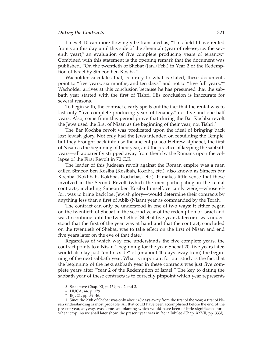#### *Dating the Contracts* 321

Lines 8–10 can more flowingly be translated as, "This field I have rented from you this day until this side of the shemitah (year of release, i.e. the sev enth year) $<sup>5</sup>$  an evaluation of five complete producing years of tenancy."</sup> Combined with this statement is the opening remark that the document was published, "On the twentieth of Shebat (Jan./Feb.) in Year 2 of the Redemption of Israel by Simeon ben Kosiba."

Wacholder calculates that, contrary to what is stated, these documents point to "five years, six months, and ten days" and not to "five full years."6 Wacholder arrives at this conclusion because he has presumed that the sabbath year started with the first of Tishri. His conclusion is inaccurate for several reasons.

To begin with, the contract clearly spells out the fact that the rental was to last only "five complete producing years of tenancy," not five and one half years. Also, coins from this period prove that during the Bar Kochba revolt the Jews used the first of Nisan as the beginning of their year, not Tishri.<sup>7</sup>

The Bar Kochba revolt was predicated upon the ideal of bringing back lost Jewish glory. Not only had the Jews intended on rebuilding the Temple, but they brought back into use the ancient palaeo-Hebrew alphabet, the first of Nisan as the beginning of their year, and the practice of keeping the sabbath years—all apparently stripped away from them by the Romans upon the collapse of the First Revolt in 70 C.E.

The leader of this Judaean revolt against the Roman empire was a man called Simeon ben Kosiba (Kosibah, Koziba, etc.), also known as Simeon bar Kochba (Kokhbah, Kokhba, Kochebas, etc.). It makes little sense that those involved in the Second Revolt (which the men participating in the rental contracts, including Simeon ben Kosiba himself, certainly were)—whose ef fort was to bring back lost Jewish glory—would determine their contracts by anything less than a first of Abib (Nisan) year as commanded by the Torah.

The contract can only be understood in one of two ways: it either began on the twentieth of Shebat in the second year of the redemption of Israel and was to continue until the twentieth of Shebat five years later; or it was understood that the first of the year was at hand and that the contract, concluded on the twentieth of Shebat, was to take effect on the first of Nisan and end five years later on the eve of that date.<sup>8</sup>

Regardless of which way one understands the five complete years, the contract points to a Nisan 1 beginning for the year. Shebat 20, five years later, would also lay just "on this side" of (or about 40 days away from) the beginning of the next sabbath year. What is important for our study is the fact that the beginning of the next sabbath year in these contracts was just five com plete years after "Year 2 of the Redemption of Israel." The key to dating the sabbath year of these contracts is to correctly pinpoint which year represents

<sup>5</sup> See above Chap. XI, p. 159, ns. 2 and 3.

<sup>6</sup> HUCA, 44, p. 179.

<sup>7</sup> IEJ, 21, pp. 39–46.

<sup>8</sup> Since the 20th of Shebat was only about 40 days away from the first of the year, a first of Nisan understanding is most probable. All that could have been accomplished before the end of the present year, anyway, was some late planting which would have been of little significance for a wheat crop. As we shall later show, the present year was in fact a Jubilee (Chap. XXVII, pp. 333f).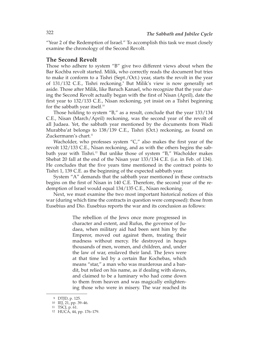"Year 2 of the Redemption of Israel." To accomplish this task we must closely examine the chronology of the Second Revolt.

#### **The Second Revolt**

Those who adhere to system "B" give two different views about when the Bar Kochba revolt started. Milik, who correctly reads the document but tries to make it conform to a Tishri (Sept./Oct.) year, starts the revolt in the year of 131/132 C.E., Tishri reckoning.9 But Milik's view is now generally set aside. Those after Milik, like Baruch Kanael, who recognize that the year during the Second Revolt actually began with the first of Nisan (April), date the first year to 132/133 C.E., Nisan reckoning, yet insist on a Tishri beginning for the sabbath year itself.10

Those holding to system "B," as a result, conclude that the year 133/134 C.E., Nisan (March/April) reckoning, was the second year of the revolt of all Judaea. Yet, the sabbath year mentioned by the documents from Wadi Murabba'at belongs to 138/139 C.E., Tishri (Oct.) reckoning, as found on Zuckermann's chart.<sup>11</sup>

Wacholder, who professes system "C," also makes the first year of the revolt 132/133 C.E., Nisan reckoning, and as with the others begins the sabbath year with Tishri.<sup>12</sup> But unlike those of system "B," Wacholder makes Shebat 20 fall at the end of the Nisan year 133/134 C.E. (i.e. in Feb. of 134). He concludes that the five years time mentioned in the contract points to Tishri 1, 139 C.E. as the beginning of the expected sabbath year.

System "A" demands that the sabbath year mentioned in these contracts begins on the first of Nisan in 140 C.E. Therefore, the second year of the redemption of Israel would equal 134/135 C.E., Nisan reckoning.

Next, we must examine the two most important historical notices of this war (during which time the contracts in question were composed): those from Eusebius and Dio. Eusebius reports the war and its conclusion as follows:

> The rebellion of the Jews once more progressed in character and extent, and Rufus, the governor of Judaea, when military aid had been sent him by the Emperor, moved out against them, treating their madness without mercy. He destroyed in heaps thousands of men, women, and children, and, under the law of war, enslaved their land. The Jews were at that time led by a certain Bar Kochebas, which means "star," a man who was murderous and a bandit, but relied on his name, as if dealing with slaves, and claimed to be a luminary who had come down to them from heaven and was magically enlightening those who were in misery. The war reached its

<sup>9</sup> DTJD, p. 125.

<sup>10</sup> IEJ, 21, pp. 39–46.

<sup>11</sup> TSCJ, p. 61.

<sup>12</sup> HUCA, 44, pp. 176–179.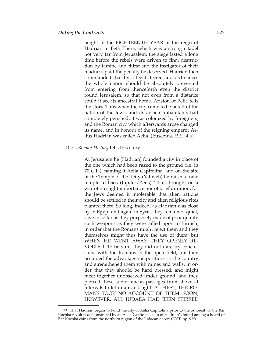height in the EIGHTEENTH YEAR of the reign of Hadrian in Beth Thera, which was a strong citadel not very far from Jerusalem; the siege lasted a long time before the rebels were driven to final destruction by famine and thirst and the instigator of their madness paid the penalty he deserved. Hadrian then commanded that by a legal decree and ordinances the whole nation should be absolutely prevented from entering from thenceforth even the district round Jerusalem, so that not even from a distance could it see its ancestral home. Ariston of Pella tells the story. Thus when the city came to be bereft of the nation of the Jews, and its ancient inhabitants had completely perished, it was colonized by foreigners, and the Roman city which afterwards arose changed its name, and in honour of the reigning emperor Aelius Hadrian was called Aelia. (Eusebius, *H.E*., 4:6)

#### Dio's *Roman History* tells this story:

At Jerusalem he (Hadrian) founded a city in place of the one which had been razed to the ground (i.e. in 70 C.E.), naming it Aelia Capitolina, and on the site of the Temple of the deity (Yahweh) he raised a new temple to Dios (Jupiter/Zeus).<sup>13</sup> This brought on a war of no slight importance nor of brief duration, for the Jews deemed it intolerable that alien nations should be settled in their city and alien religious rites planted there. So long, indeed, as Hadrian was close by in Egypt and again in Syria, they remained quiet, save in so far as they purposely made of poor quality such weapons as they were called upon to furnish, in order that the Romans might reject them and they themselves might thus have the use of them; but WHEN HE WENT AWAY, THEY OPENLY RE-VOLTED. To be sure, they did not dare try conclusions with the Romans in the open field, but they occupied the advantageous positions in the country and strengthened them with mines and walls, in order that they should be hard pressed, and might meet together unobserved under ground; and they pierced these subterranean passages from above at intervals to let in air and light. AT FIRST, THE RO-MANS TOOK NO ACCOUNT OF THEM. SOON, HOWEVER, ALL JUDAEA HAD BEEN STIRRED

<sup>13</sup> That Hadrian began to build the city of Aelia Capitolina prior to the outbreak of the Bar Kochba revolt is demonstrated by an Aelia Capitolina coin of Hadrian's found among a hoard of Bar Kochba coins from the northern region of the Judaean desert (JCST, pp. 92f).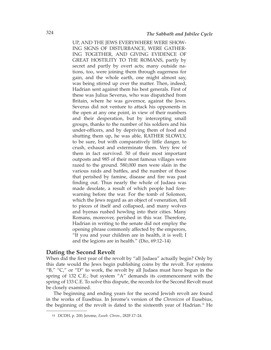UP, AND THE JEWS EVERYWHERE WERE SHOW - ING SIGNS OF DISTURBANCE, WERE GATHER-ING TOGETHER, AND GIVING EVIDENCE OF GREAT HOSTILITY TO THE ROMANS, partly by secret and partly by overt acts; many outside nations, too, were joining them through eagerness for gain, and the whole earth, one might almost say, was being stirred up over the matter. Then, indeed, Hadrian sent against them his best generals. First of these was Julius Severus, who was dispatched from Britain, where he was governor, against the Jews. Severus did not venture to attack his opponents in the open at any one point, in view of their numbers and their desperation, but by intercepting small groups, thanks to the number of his soldiers and his under-officers, and by depriving them of food and shutting them up, he was able, RATHER SLOWLY, to be sure, but with comparatively little danger, to crush, exhaust and exterminate them. Very few of them in fact survived. 50 of their most important outposts and 985 of their most famous villages were razed to the ground. 580,000 men were slain in the various raids and battles, and the number of those that perished by famine, disease and fire was past finding out. Thus nearly the whole of Judaea was made desolate, a result of which people had forewarning before the war. For the tomb of Solomon, which the Jews regard as an object of veneration, fell to pieces of itself and collapsed, and many wolves and hyenas rushed howling into their cities. Many Romans, moreover, perished in this war. Therefore, Hadrian in writing to the senate did not employ the opening phrase commonly affected by the emperors, "If you and your children are in health, it is well; I and the legions are in health." (Dio, 69:12–14)

#### **Dating the Second Revolt**

When did the first year of the revolt by "all Judaea" actually begin? Only by this date would the Jews begin publishing coins by the revolt. For systems "B," "C," or "D" to work, the revolt by all Judaea must have begun in the spring of 132 C.E.; but system "A" demands its commencement with the spring of 133 C.E. To solve this dispute, the records for the Second Revolt must be closely examined.

The beginning and ending years for the second Jewish revolt are found in the works of Eusebius. In Jerome's version of the *Chronicon* of Eusebius, the beginning of the revolt is dated to the sixteenth year of Hadrian.14 He

<sup>14</sup> DCDH, p. 200; Jerome, *Euseb. Chron*., 282F:17–24.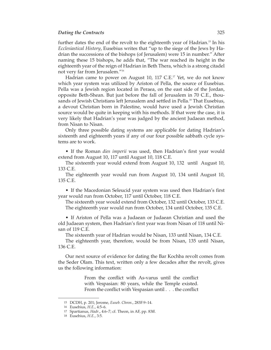#### **Dating the Contracts** 325

further dates the end of the revolt to the eighteenth year of Hadrian.15 In his *Ecclesiastical History, Eusebius writes that "up to the siege of the Jews by Ha*drian the successions of the bishops (of Jerusalem) were 15 in number." After naming these 15 bishops, he adds that, "The war reached its height in the eighteenth year of the reign of Hadrian in Beth Thera, which is a strong citadel not very far from Jerusalem."16

Hadrian came to power on August 10, 117 C.E.<sup>17</sup> Yet, we do not know which year system was utilized by Ariston of Pella, the source of Eusebius. Pella was a Jewish region located in Peraea, on the east side of the Jordan, opposite Beth-Shean. But just before the fall of Jerusalem in 70 C.E., thousands of Jewish Christians left Jerusalem and settled in Pella.18 That Eusebius, a devout Christian born in Palestine, would have used a Jewish Christian source would be quite in keeping with his methods. If that were the case, it is very likely that Hadrian's year was judged by the ancient Judaean method, from Nisan to Nisan.

Only three possible dating systems are applicable for dating Hadrian's sixteenth and eighteenth years if any of our four possible sabbath cycle systems are to work.

• If the Roman *dies imperii* was used, then Hadrian's first year would extend from August 10, 117 until August 10, 118 C.E.

The sixteenth year would extend from August 10, 132 until August 10, 133 C.E.

The eighteenth year would run from August 10, 134 until August 10, 135 C.E.

• If the Macedonian Seleucid year system was used then Hadrian's first year would run from October, 117 until October, 118 C.E.

The sixteenth year would extend from October, 132 until October, 133 C.E. The eighteenth year would run from October, 134 until October, 135 C.E.

• If Ariston of Pella was a Judaean or Judaean Christian and used the old Judaean system, then Hadrian's first year was from Nisan of 118 until Ni san of 119 C.E.

The sixteenth year of Hadrian would be Nisan, 133 until Nisan, 134 C.E.

The eighteenth year, therefore, would be from Nisan, 135 until Nisan, 136 C.E.

Our next source of evidence for dating the Bar Kochba revolt comes from the Seder Olam. This text, written only a few decades after the revolt, gives us the following information:

> From the conflict with As-varus until the conflict with Vespasian: 80 years, while the Temple existed. From the conflict with Vespasian until . . . the conflict

<sup>15</sup> DCDH, p. 201; Jerome, *Euseb. Chron*., 283F:9–14.

<sup>16</sup> Eusebius, *H.E*., 4:5–6.

<sup>17</sup> Spartianus, *Hadr*., 4:6–7; cf. Theon, in AF, pp. 83ff.

<sup>18</sup> Eusebius, *H.E*., 3:5.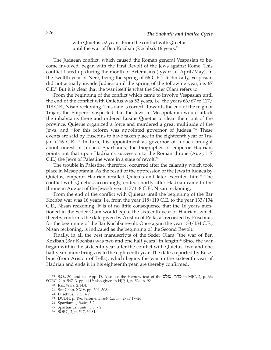with Quietus: 52 years. From the conflict with Quietus until the war of Ben Kozibah (Kochba): 16 years.<sup>19</sup>

The Judaean conflict, which caused the Roman general Vespasian to become involved, began with the First Revolt of the Jews against Rome. This conflict flared up during the month of Artemisius (Iyyar; i.e. April/May), in the twelfth year of Nero, being the spring of 66 C.E.<sup>20</sup> Technically, Vespasian did not actually invade Judaea until the spring of the following year, i.e. 67 C.E.21 But it is clear that the war itself is what the Seder Olam refers to.

From the beginning of the conflict which came to involve Vespasian until the end of the conflict with Quietus was 52 years, i.e. the years 66/67 to 117/ 118 C.E., Nisan reckoning. This date is correct. Towards the end of the reign of Trajan, the Emperor suspected that the Jews in Mesopotamia would attack the inhabitants there and ordered Lusius Quietus to clean them out of the province. Quietus organized a force and murdered a great multitude of the Jews, and "for this reform was appointed governor of Judaea."<sup>22</sup> These events are said by Eusebius to have taken place in the eighteenth year of Trajan  $(116 \text{ C.E.})^{23}$  In turn, his appointment as governor of Judaea brought about unrest in Judaea. Spartianus, the biographer of emperor Hadrian, points out that upon Hadrian's succession to the Roman throne (Aug., 117 C.E.) the Jews of Palestine were in a state of revolt.<sup>24</sup>

The trouble in Palestine, therefore, occurred after the calamity which took place in Mesopotamia. As the result of the oppression of the Jews in Judaea by Quietus, emperor Hadrian recalled Quietus and later executed him.25 The conflict with Quietus, accordingly, ended shortly after Hadrian came to the throne in August of the Jewish year 117/118 C.E., Nisan reckoning.

From the end of the conflict with Quietus until the beginning of the Bar Kochba war was 16 years: i.e. from the year 118/119 C.E. to the year 133/134 C.E., Nisan reckoning. It is of no little consequence that the 16 years mentioned in the Seder Olam would equal the sixteenth year of Hadrian, which thereby confirms the date given by Ariston of Pella, as recorded by Eusebius, for the beginning of the Bar Kochba revolt. Once again the year 133/134 C.E., Nisan reckoning, is indicated as the beginning of the Second Revolt.

Finally, in all the best manuscripts of the Seder Olam "the war of Ben Kozibah (Bar Kochba) was two and one half years" in length.<sup>26</sup> Since the war began within the sixteenth year after the conflict with Quietus, two and one half years more brings us to the eighteenth year. The dates reported by Eusebius (from Ariston of Pella), which begins the war in the sixteenth year of Hadrian and ends it in his eighteenth year, are thereby confirmed.

<sup>19</sup> S.O., 30; and see App. D. Also see the Hebrew text of the שולם in MJC, 2, p. 66; SORC, 2, p. 547, 3, pp. 441f; also given in HJP, 1, p. 534, n. 92.

<sup>20</sup> Jos., *Wars*, 2:14:4.

<sup>21</sup> See Chap. XXIV, pp. 304–308.

<sup>22</sup> Eusebius, *H.E*., 4:2.

<sup>23</sup> DCDH, p. 196; Jerome, *Euseb. Chron*., 278F:17–26.

<sup>24</sup> Spartianus, *Hadr*., 5:2.

<sup>25</sup> Spartianus, *Hadr*., 5:8, 7:2.

<sup>26</sup> SORC, 2, p. 547, 30:81.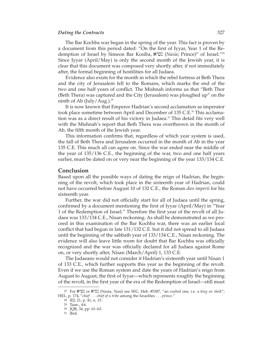#### *Dating the Contracts* 327

The Bar Kochba war began in the spring of the year. This fact is proven by a document from this period dated: "On the first of Iyyar, Year 1 of the Redemption of Israel by Simeon Bar Kosiba, **ו**שיא (*Nasia*; Prince)<sup>27</sup> of Israel.<sup>"28</sup> Since Iyyar (April/May) is only the second month of the Jewish year, it is clear that this document was composed very shortly after, if not immediately after, the formal beginning of hostilities for all Judaea.

Evidence also exists for the month in which the rebel fortress at Beth Thera and the city of Jerusalem fell to the Romans, which marks the end of the two and one half years of conflict. The Mishnah informs us that "Beth Thor (Beth Thera) was captured and the City (Jerusalem) was ploughed up" on the ninth of Ab (July/Aug.).<sup>29</sup>

It is now known that Emperor Hadrian's second acclamation as imperator took place sometime between April and December of 135 C.E.<sup>30</sup> This acclamation was as a direct result of his victory in Judaea.<sup>31</sup> This detail fits very well with the Mishnah's report that Beth Thera was overthrown in the month of Ab, the fifth month of the Jewish year.

This information confirms that, regardless of which year system is used, the fall of Beth Thera and Jerusalem occurred in the month of Ab in the year 135 C.E. This much all can agree on. Since the war ended near the middle of the year of 135/136 C.E., the beginning of the war, two and one half years earlier, must be dated on or very near the beginning of the year 133/134 C.E.

#### **Conclusion**

Based upon all the possible ways of dating the reign of Hadrian, the beginning of the revolt, which took place in the sixteenth year of Hadrian, could not have occurred before August 10 of 132 C.E., the Roman *dies imperii* for his sixteenth year.

Further, the war did not officially start for all of Judaea until the spring, confirmed by a document mentioning the first of Iyyar (April/May) in "Year 1 of the Redemption of Israel." Therefore the first year of the revolt of all Judaea was 133/134 C.E., Nisan reckoning. As shall be demonstrated as we pro ceed in this examination of the Bar Kochba war, there was an earlier local conflict that had begun in late 131/132 C.E. but it did not spread to all Judaea until the beginning of the sabbath year of 133/134 C.E., Nisan reckoning. The evidence will also leave little room for doubt that Bar Kochba was officially recognized and the war was officially declared for all Judaea against Rome on, or very shortly after, Nisan (March/April) 1, 133 C.E.

The Judaeans would not consider it Hadrian's sixteenth year until Nisan 1 of 133 C.E., which further supports this year as the beginning of the revolt. Even if we use the Roman system and date the years of Hadrian's reign from August to August, the first of Iyyar—which represents roughly the beginning of the revolt, in the first year of the era of the Redemption of Israel—still must

<sup>27</sup> For ayçn or aysn (Nasia, Nasi) see SEC, Heb. #5387, "an *exalted* one, i.e. a *king* or *sheik*"; HEL, p. 174, "*chief . . . chief of a tribe* among the Israelites . . . *prince*."

<sup>28</sup> IEJ, 21, p. 41, n. 15.

<sup>29</sup> Taan., 4:6.

<sup>30</sup> JQR, 34, pp. 61–63.

<sup>31</sup> Ibid.